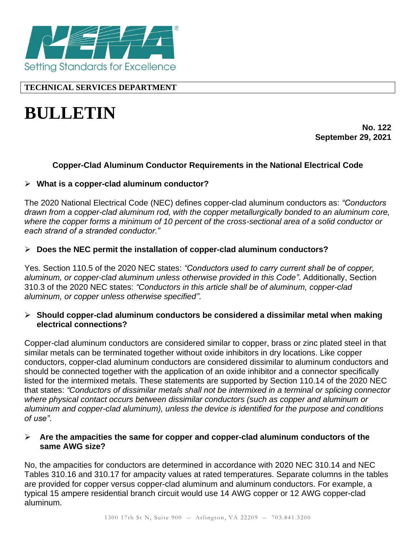

# **TECHNICAL SERVICES DEPARTMENT**

# **BULLETIN**

**No. 122 September 29, 2021**

## **Copper-Clad Aluminum Conductor Requirements in the National Electrical Code**

#### ➢ **What is a copper-clad aluminum conductor?**

The 2020 National Electrical Code (NEC) defines copper-clad aluminum conductors as: *"Conductors drawn from a copper-clad aluminum rod, with the copper metallurgically bonded to an aluminum core, where the copper forms a minimum of 10 percent of the cross-sectional area of a solid conductor or each strand of a stranded conductor."*

### ➢ **Does the NEC permit the installation of copper-clad aluminum conductors?**

Yes. Section 110.5 of the 2020 NEC states: *"Conductors used to carry current shall be of copper, aluminum, or copper-clad aluminum unless otherwise provided in this Code"*. Additionally, Section 310.3 of the 2020 NEC states: *"Conductors in this article shall be of aluminum, copper-clad aluminum, or copper unless otherwise specified"*.

#### ➢ **Should copper-clad aluminum conductors be considered a dissimilar metal when making electrical connections?**

Copper-clad aluminum conductors are considered similar to copper, brass or zinc plated steel in that similar metals can be terminated together without oxide inhibitors in dry locations. Like copper conductors, copper-clad aluminum conductors are considered dissimilar to aluminum conductors and should be connected together with the application of an oxide inhibitor and a connector specifically listed for the intermixed metals. These statements are supported by Section 110.14 of the 2020 NEC that states: *"Conductors of dissimilar metals shall not be intermixed in a terminal or splicing connector where physical contact occurs between dissimilar conductors (such as copper and aluminum or aluminum and copper-clad aluminum), unless the device is identified for the purpose and conditions of use"*.

#### ➢ **Are the ampacities the same for copper and copper-clad aluminum conductors of the same AWG size?**

No, the ampacities for conductors are determined in accordance with 2020 NEC 310.14 and NEC Tables 310.16 and 310.17 for ampacity values at rated temperatures. Separate columns in the tables are provided for copper versus copper-clad aluminum and aluminum conductors. For example, a typical 15 ampere residential branch circuit would use 14 AWG copper or 12 AWG copper-clad aluminum.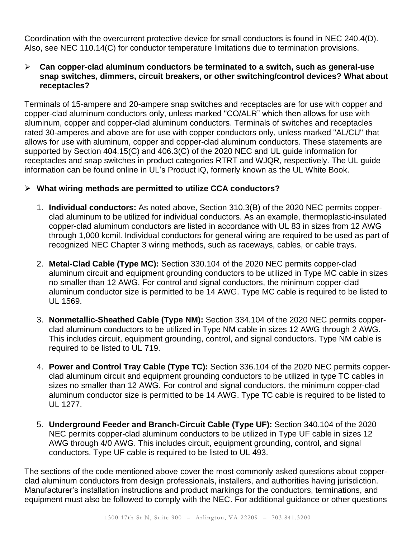Coordination with the overcurrent protective device for small conductors is found in NEC 240.4(D). Also, see NEC 110.14(C) for conductor temperature limitations due to termination provisions.

#### ➢ **Can copper-clad aluminum conductors be terminated to a switch, such as general-use snap switches, dimmers, circuit breakers, or other switching/control devices? What about receptacles?**

Terminals of 15-ampere and 20-ampere snap switches and receptacles are for use with copper and copper-clad aluminum conductors only, unless marked "CO/ALR" which then allows for use with aluminum, copper and copper-clad aluminum conductors. Terminals of switches and receptacles rated 30-amperes and above are for use with copper conductors only, unless marked "AL/CU" that allows for use with aluminum, copper and copper-clad aluminum conductors. These statements are supported by Section 404.15(C) and 406.3(C) of the 2020 NEC and UL guide information for receptacles and snap switches in product categories RTRT and WJQR, respectively. The UL guide information can be found online in UL's Product iQ, formerly known as the UL White Book.

### ➢ **What wiring methods are permitted to utilize CCA conductors?**

- 1. **Individual conductors:** As noted above, Section 310.3(B) of the 2020 NEC permits copperclad aluminum to be utilized for individual conductors. As an example, thermoplastic-insulated copper-clad aluminum conductors are listed in accordance with UL 83 in sizes from 12 AWG through 1,000 kcmil. Individual conductors for general wiring are required to be used as part of recognized NEC Chapter 3 wiring methods, such as raceways, cables, or cable trays.
- 2. **Metal-Clad Cable (Type MC):** Section 330.104 of the 2020 NEC permits copper-clad aluminum circuit and equipment grounding conductors to be utilized in Type MC cable in sizes no smaller than 12 AWG. For control and signal conductors, the minimum copper-clad aluminum conductor size is permitted to be 14 AWG. Type MC cable is required to be listed to UL 1569.
- 3. **Nonmetallic-Sheathed Cable (Type NM):** Section 334.104 of the 2020 NEC permits copperclad aluminum conductors to be utilized in Type NM cable in sizes 12 AWG through 2 AWG. This includes circuit, equipment grounding, control, and signal conductors. Type NM cable is required to be listed to UL 719.
- 4. **Power and Control Tray Cable (Type TC):** Section 336.104 of the 2020 NEC permits copperclad aluminum circuit and equipment grounding conductors to be utilized in type TC cables in sizes no smaller than 12 AWG. For control and signal conductors, the minimum copper-clad aluminum conductor size is permitted to be 14 AWG. Type TC cable is required to be listed to UL 1277.
- 5. **Underground Feeder and Branch-Circuit Cable (Type UF):** Section 340.104 of the 2020 NEC permits copper-clad aluminum conductors to be utilized in Type UF cable in sizes 12 AWG through 4/0 AWG. This includes circuit, equipment grounding, control, and signal conductors. Type UF cable is required to be listed to UL 493.

The sections of the code mentioned above cover the most commonly asked questions about copperclad aluminum conductors from design professionals, installers, and authorities having jurisdiction. Manufacturer's installation instructions and product markings for the conductors, terminations, and equipment must also be followed to comply with the NEC. For additional guidance or other questions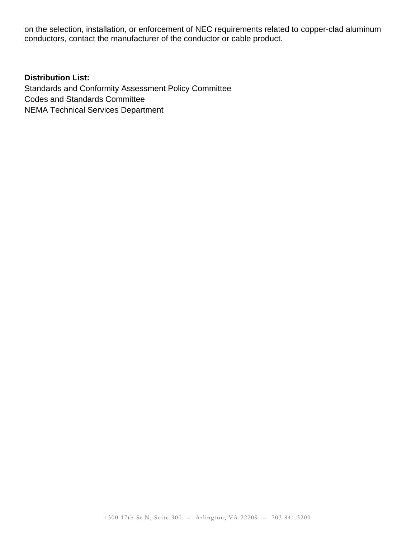on the selection, installation, or enforcement of NEC requirements related to copper-clad aluminum conductors, contact the manufacturer of the conductor or cable product.

### **Distribution List:**

Standards and Conformity Assessment Policy Committee Codes and Standards Committee NEMA Technical Services Department